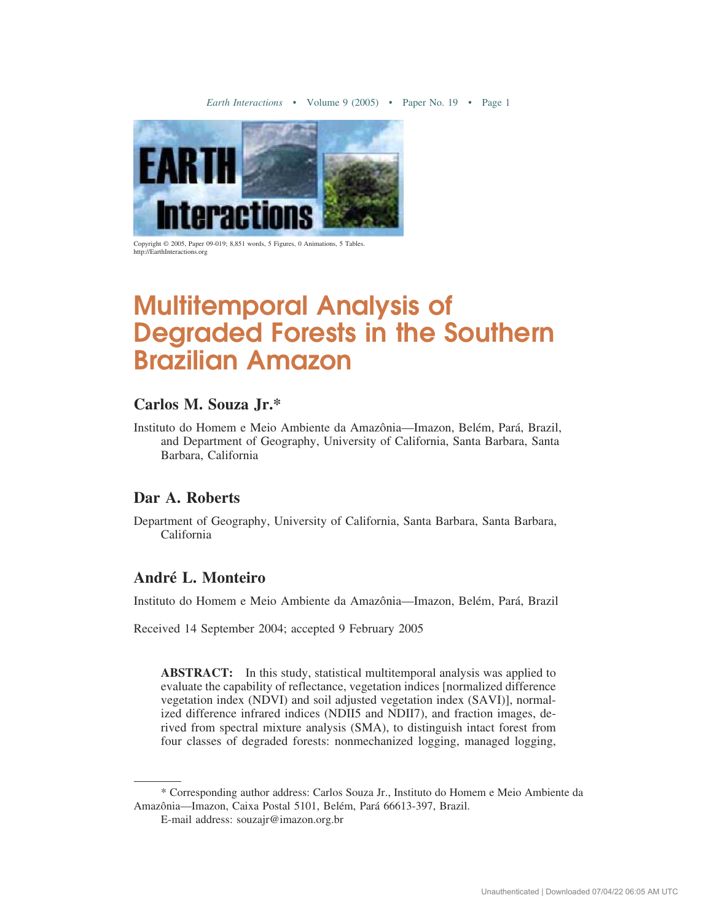

Copyright © 2005, Paper 09-019; 8,851 words, 5 Figures, 0 Animations, 5 Tables. http://EarthInteractions.org

# **Multitemporal Analysis of Degraded Forests in the Southern Brazilian Amazon**

# **Carlos M. Souza Jr.\***

Instituto do Homem e Meio Ambiente da Amazônia—Imazon, Belém, Para´, Brazil, and Department of Geography, University of California, Santa Barbara, Santa Barbara, California

# **Dar A. Roberts**

Department of Geography, University of California, Santa Barbara, Santa Barbara, California

# **André L. Monteiro**

Instituto do Homem e Meio Ambiente da Amazônia—Imazon, Belém, Para´, Brazil

Received 14 September 2004; accepted 9 February 2005

**ABSTRACT:** In this study, statistical multitemporal analysis was applied to evaluate the capability of reflectance, vegetation indices [normalized difference vegetation index (NDVI) and soil adjusted vegetation index (SAVI)], normalized difference infrared indices (NDII5 and NDII7), and fraction images, derived from spectral mixture analysis (SMA), to distinguish intact forest from four classes of degraded forests: nonmechanized logging, managed logging,

<sup>\*</sup> Corresponding author address: Carlos Souza Jr., Instituto do Homem e Meio Ambiente da Amazônia—Imazon, Caixa Postal 5101, Belém, Pará 66613-397, Brazil.

E-mail address: souzajr@imazon.org.br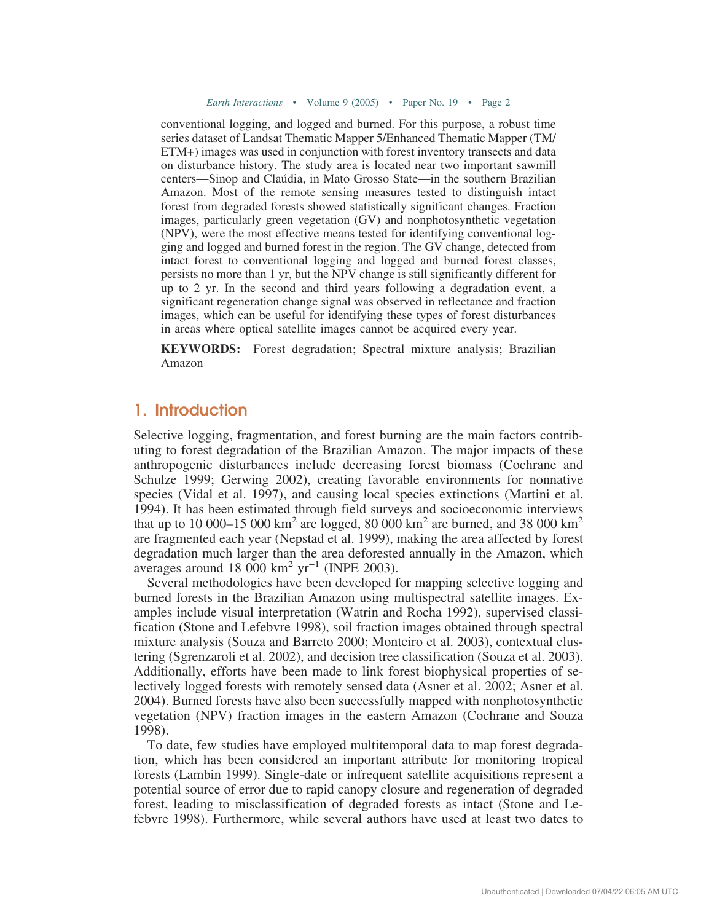conventional logging, and logged and burned. For this purpose, a robust time series dataset of Landsat Thematic Mapper 5/Enhanced Thematic Mapper (TM/ ETM+) images was used in conjunction with forest inventory transects and data on disturbance history. The study area is located near two important sawmill centers—Sinop and Claúdia, in Mato Grosso State—in the southern Brazilian Amazon. Most of the remote sensing measures tested to distinguish intact forest from degraded forests showed statistically significant changes. Fraction images, particularly green vegetation (GV) and nonphotosynthetic vegetation (NPV), were the most effective means tested for identifying conventional logging and logged and burned forest in the region. The GV change, detected from intact forest to conventional logging and logged and burned forest classes, persists no more than 1 yr, but the NPV change is still significantly different for up to 2 yr. In the second and third years following a degradation event, a significant regeneration change signal was observed in reflectance and fraction images, which can be useful for identifying these types of forest disturbances in areas where optical satellite images cannot be acquired every year.

**KEYWORDS:** Forest degradation; Spectral mixture analysis; Brazilian Amazon

# **1. Introduction**

Selective logging, fragmentation, and forest burning are the main factors contributing to forest degradation of the Brazilian Amazon. The major impacts of these anthropogenic disturbances include decreasing forest biomass (Cochrane and Schulze 1999; Gerwing 2002), creating favorable environments for nonnative species (Vidal et al. 1997), and causing local species extinctions (Martini et al. 1994). It has been estimated through field surveys and socioeconomic interviews that up to 10 000–15 000 km<sup>2</sup> are logged, 80 000 km<sup>2</sup> are burned, and 38 000 km<sup>2</sup> are fragmented each year (Nepstad et al. 1999), making the area affected by forest degradation much larger than the area deforested annually in the Amazon, which averages around 18 000 km<sup>2</sup> yr<sup>-1</sup> (INPE 2003).

Several methodologies have been developed for mapping selective logging and burned forests in the Brazilian Amazon using multispectral satellite images. Examples include visual interpretation (Watrin and Rocha 1992), supervised classification (Stone and Lefebvre 1998), soil fraction images obtained through spectral mixture analysis (Souza and Barreto 2000; Monteiro et al. 2003), contextual clustering (Sgrenzaroli et al. 2002), and decision tree classification (Souza et al. 2003). Additionally, efforts have been made to link forest biophysical properties of selectively logged forests with remotely sensed data (Asner et al. 2002; Asner et al. 2004). Burned forests have also been successfully mapped with nonphotosynthetic vegetation (NPV) fraction images in the eastern Amazon (Cochrane and Souza 1998).

To date, few studies have employed multitemporal data to map forest degradation, which has been considered an important attribute for monitoring tropical forests (Lambin 1999). Single-date or infrequent satellite acquisitions represent a potential source of error due to rapid canopy closure and regeneration of degraded forest, leading to misclassification of degraded forests as intact (Stone and Lefebvre 1998). Furthermore, while several authors have used at least two dates to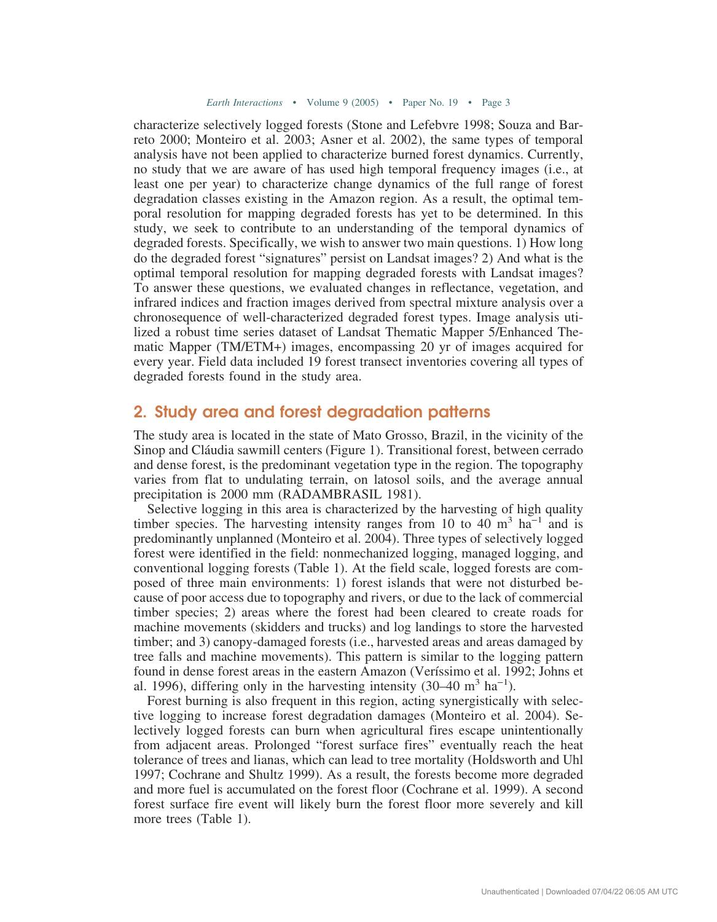characterize selectively logged forests (Stone and Lefebvre 1998; Souza and Barreto 2000; Monteiro et al. 2003; Asner et al. 2002), the same types of temporal analysis have not been applied to characterize burned forest dynamics. Currently, no study that we are aware of has used high temporal frequency images (i.e., at least one per year) to characterize change dynamics of the full range of forest degradation classes existing in the Amazon region. As a result, the optimal temporal resolution for mapping degraded forests has yet to be determined. In this study, we seek to contribute to an understanding of the temporal dynamics of degraded forests. Specifically, we wish to answer two main questions. 1) How long do the degraded forest "signatures" persist on Landsat images? 2) And what is the optimal temporal resolution for mapping degraded forests with Landsat images? To answer these questions, we evaluated changes in reflectance, vegetation, and infrared indices and fraction images derived from spectral mixture analysis over a chronosequence of well-characterized degraded forest types. Image analysis utilized a robust time series dataset of Landsat Thematic Mapper 5/Enhanced Thematic Mapper (TM/ETM+) images, encompassing 20 yr of images acquired for every year. Field data included 19 forest transect inventories covering all types of degraded forests found in the study area.

# **2. Study area and forest degradation patterns**

The study area is located in the state of Mato Grosso, Brazil, in the vicinity of the Sinop and Cláudia sawmill centers (Figure 1). Transitional forest, between cerrado and dense forest, is the predominant vegetation type in the region. The topography varies from flat to undulating terrain, on latosol soils, and the average annual precipitation is 2000 mm (RADAMBRASIL 1981).

Selective logging in this area is characterized by the harvesting of high quality timber species. The harvesting intensity ranges from 10 to 40  $\text{m}^3$  ha<sup>-1</sup> and is predominantly unplanned (Monteiro et al. 2004). Three types of selectively logged forest were identified in the field: nonmechanized logging, managed logging, and conventional logging forests (Table 1). At the field scale, logged forests are composed of three main environments: 1) forest islands that were not disturbed because of poor access due to topography and rivers, or due to the lack of commercial timber species; 2) areas where the forest had been cleared to create roads for machine movements (skidders and trucks) and log landings to store the harvested timber; and 3) canopy-damaged forests (i.e., harvested areas and areas damaged by tree falls and machine movements). This pattern is similar to the logging pattern found in dense forest areas in the eastern Amazon (Veríssimo et al. 1992; Johns et al. 1996), differing only in the harvesting intensity  $(30-40 \text{ m}^3 \text{ ha}^{-1})$ .

Forest burning is also frequent in this region, acting synergistically with selective logging to increase forest degradation damages (Monteiro et al. 2004). Selectively logged forests can burn when agricultural fires escape unintentionally from adjacent areas. Prolonged "forest surface fires" eventually reach the heat tolerance of trees and lianas, which can lead to tree mortality (Holdsworth and Uhl 1997; Cochrane and Shultz 1999). As a result, the forests become more degraded and more fuel is accumulated on the forest floor (Cochrane et al. 1999). A second forest surface fire event will likely burn the forest floor more severely and kill more trees (Table 1).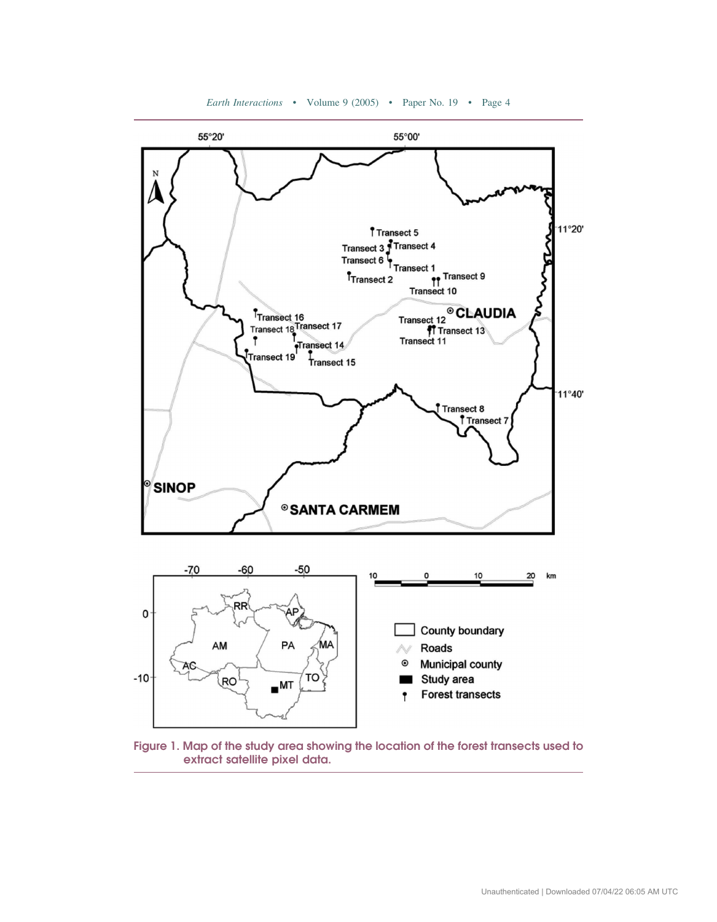

*Earth Interactions* • Volume 9 (2005) • Paper No. 19 • Page 4

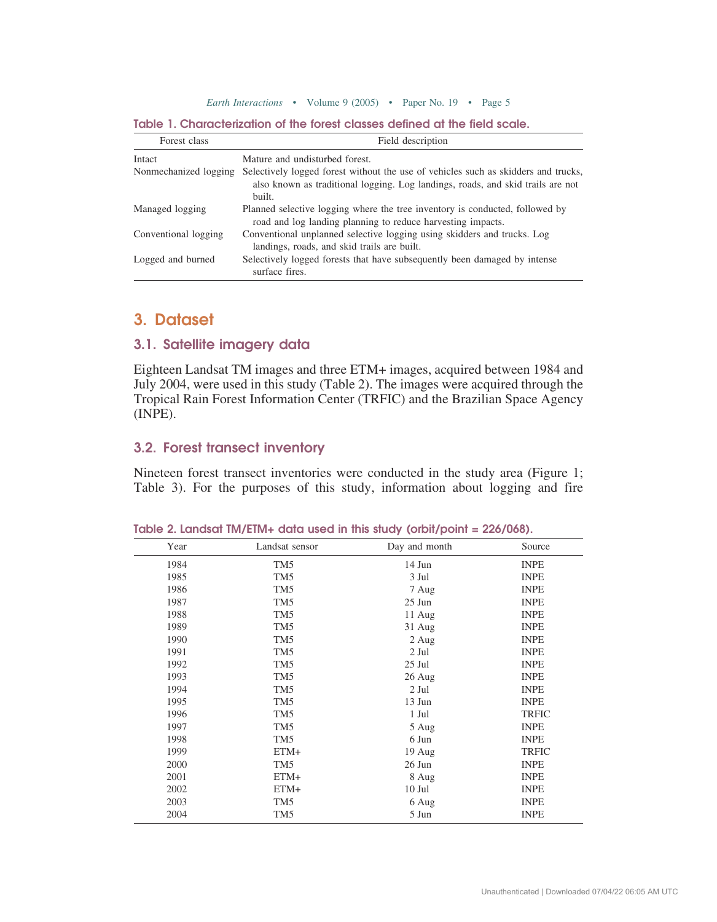| Table 1. Characterization of the forest classes defined at the field scale. |  |  |  |
|-----------------------------------------------------------------------------|--|--|--|
|-----------------------------------------------------------------------------|--|--|--|

| Forest class          | Field description                                                                                                                                                               |  |  |  |  |
|-----------------------|---------------------------------------------------------------------------------------------------------------------------------------------------------------------------------|--|--|--|--|
| Intact                | Mature and undisturbed forest.                                                                                                                                                  |  |  |  |  |
| Nonmechanized logging | Selectively logged forest without the use of vehicles such as skidders and trucks,<br>also known as traditional logging. Log landings, roads, and skid trails are not<br>built. |  |  |  |  |
| Managed logging       | Planned selective logging where the tree inventory is conducted, followed by<br>road and log landing planning to reduce harvesting impacts.                                     |  |  |  |  |
| Conventional logging  | Conventional unplanned selective logging using skidders and trucks. Log<br>landings, roads, and skid trails are built.                                                          |  |  |  |  |
| Logged and burned     | Selectively logged forests that have subsequently been damaged by intense<br>surface fires.                                                                                     |  |  |  |  |

# **3. Dataset**

# **3.1. Satellite imagery data**

Eighteen Landsat TM images and three ETM+ images, acquired between 1984 and July 2004, were used in this study (Table 2). The images were acquired through the Tropical Rain Forest Information Center (TRFIC) and the Brazilian Space Agency (INPE).

## **3.2. Forest transect inventory**

Nineteen forest transect inventories were conducted in the study area (Figure 1; Table 3). For the purposes of this study, information about logging and fire

| Year | Landsat sensor  | Day and month | Source       |
|------|-----------------|---------------|--------------|
| 1984 | TM <sub>5</sub> | 14 Jun        | <b>INPE</b>  |
| 1985 | TM <sub>5</sub> | 3 Jul         | <b>INPE</b>  |
| 1986 | TM <sub>5</sub> | 7 Aug         | <b>INPE</b>  |
| 1987 | TM <sub>5</sub> | $25$ Jun      | <b>INPE</b>  |
| 1988 | TM <sub>5</sub> | 11 Aug        | <b>INPE</b>  |
| 1989 | TM <sub>5</sub> | $31$ Aug      | <b>INPE</b>  |
| 1990 | TM <sub>5</sub> | 2 Aug         | <b>INPE</b>  |
| 1991 | TM <sub>5</sub> | 2 Jul         | <b>INPE</b>  |
| 1992 | TM <sub>5</sub> | $25$ Jul      | <b>INPE</b>  |
| 1993 | TM <sub>5</sub> | $26$ Aug      | <b>INPE</b>  |
| 1994 | TM <sub>5</sub> | 2 Jul         | <b>INPE</b>  |
| 1995 | TM <sub>5</sub> | $13$ Jun      | <b>INPE</b>  |
| 1996 | TM <sub>5</sub> | 1 Jul         | <b>TRFIC</b> |
| 1997 | TM <sub>5</sub> | 5 Aug         | <b>INPE</b>  |
| 1998 | TM <sub>5</sub> | 6 Jun         | <b>INPE</b>  |
| 1999 | ETM+            | 19 Aug        | <b>TRFIC</b> |
| 2000 | TM <sub>5</sub> | 26 Jun        | <b>INPE</b>  |
| 2001 | ETM+            | 8 Aug         | <b>INPE</b>  |
| 2002 | ETM+            | $10$ Jul      | <b>INPE</b>  |
| 2003 | TM <sub>5</sub> | 6 Aug         | <b>INPE</b>  |
| 2004 | TM <sub>5</sub> | 5 Jun         | <b>INPE</b>  |

**Table 2. Landsat TM/ETM+ data used in this study (orbit/point = 226/068).**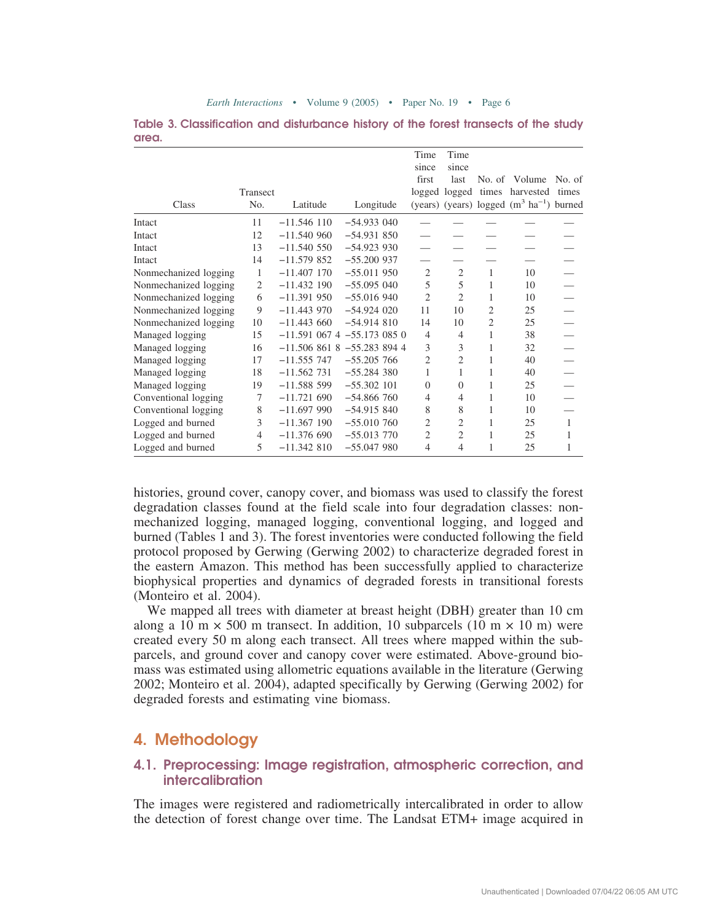|                       |          |               |                                 | Time           | Time           |                |                                                       |        |
|-----------------------|----------|---------------|---------------------------------|----------------|----------------|----------------|-------------------------------------------------------|--------|
|                       |          |               |                                 | since          | since          |                |                                                       |        |
|                       |          |               |                                 | first          | last           |                | No. of Volume                                         | No. of |
|                       | Transect |               |                                 |                |                |                | logged logged times harvested                         | times  |
| Class                 | No.      | Latitude      | Longitude                       |                |                |                | (years) (years) logged $(m^3 \text{ ha}^{-1})$ burned |        |
| Intact                | 11       | $-11.546$ 110 | $-54.933040$                    |                |                |                |                                                       |        |
| Intact                | 12       | $-11.540960$  | $-54.931850$                    |                |                |                |                                                       |        |
| Intact                | 13       | $-11.540550$  | $-54.923$ 930                   |                |                |                |                                                       |        |
| Intact                | 14       | $-11.579852$  | $-55.200$ 937                   |                |                |                |                                                       |        |
| Nonmechanized logging | 1        | $-11.407$ 170 | $-55.011$ 950                   | $\overline{2}$ | $\overline{2}$ | 1              | 10                                                    |        |
| Nonmechanized logging | 2        | $-11.432$ 190 | $-55.095040$                    | 5              | 5              | 1              | 10                                                    |        |
| Nonmechanized logging | 6        | $-11.391950$  | $-55.016$ 940                   | 2              | $\overline{2}$ | 1              | 10                                                    |        |
| Nonmechanized logging | 9        | $-11.443$ 970 | $-54.924020$                    | 11             | 10             | 2              | 25                                                    |        |
| Nonmechanized logging | 10       | $-11.443660$  | $-54.914810$                    | 14             | 10             | $\overline{2}$ | 25                                                    |        |
| Managed logging       | 15       |               | $-11.591$ 067 4 $-55.173$ 085 0 | $\overline{4}$ | $\overline{4}$ | 1              | 38                                                    |        |
| Managed logging       | 16       |               | $-11.506$ 861 8 $-55.283$ 894 4 | 3              | 3              | 1              | 32                                                    |        |
| Managed logging       | 17       | $-11.555747$  | $-55.205766$                    | $\overline{c}$ | $\overline{2}$ | 1              | 40                                                    |        |
| Managed logging       | 18       | $-11.562731$  | $-55.284$ 380                   | 1              | 1              | 1              | 40                                                    |        |
| Managed logging       | 19       | $-11.588599$  | $-55.302$ 101                   | $\Omega$       | $\Omega$       | 1              | 25                                                    |        |
| Conventional logging  | 7        | $-11.721$ 690 | $-54.866760$                    | $\overline{4}$ | 4              | 1              | 10                                                    |        |
| Conventional logging  | 8        | $-11.697$ 990 | $-54.915840$                    | 8              | 8              | 1              | 10                                                    |        |
| Logged and burned     | 3        | $-11.367$ 190 | $-55.010$ 760                   | 2              | 2              | 1              | 25                                                    | 1      |
| Logged and burned     | 4        | $-11.376690$  | $-55.013770$                    | $\overline{2}$ | $\overline{2}$ | 1              | 25                                                    | 1      |
| Logged and burned     | 5        | $-11.342810$  | $-55.047980$                    | $\overline{4}$ | 4              | 1              | 25                                                    | 1      |

**Table 3. Classification and disturbance history of the forest transects of the study area.**

histories, ground cover, canopy cover, and biomass was used to classify the forest degradation classes found at the field scale into four degradation classes: nonmechanized logging, managed logging, conventional logging, and logged and burned (Tables 1 and 3). The forest inventories were conducted following the field protocol proposed by Gerwing (Gerwing 2002) to characterize degraded forest in the eastern Amazon. This method has been successfully applied to characterize biophysical properties and dynamics of degraded forests in transitional forests (Monteiro et al. 2004).

We mapped all trees with diameter at breast height (DBH) greater than 10 cm along a 10 m  $\times$  500 m transect. In addition, 10 subparcels (10 m  $\times$  10 m) were created every 50 m along each transect. All trees where mapped within the subparcels, and ground cover and canopy cover were estimated. Above-ground biomass was estimated using allometric equations available in the literature (Gerwing 2002; Monteiro et al. 2004), adapted specifically by Gerwing (Gerwing 2002) for degraded forests and estimating vine biomass.

# **4. Methodology**

## **4.1. Preprocessing: Image registration, atmospheric correction, and intercalibration**

The images were registered and radiometrically intercalibrated in order to allow the detection of forest change over time. The Landsat ETM+ image acquired in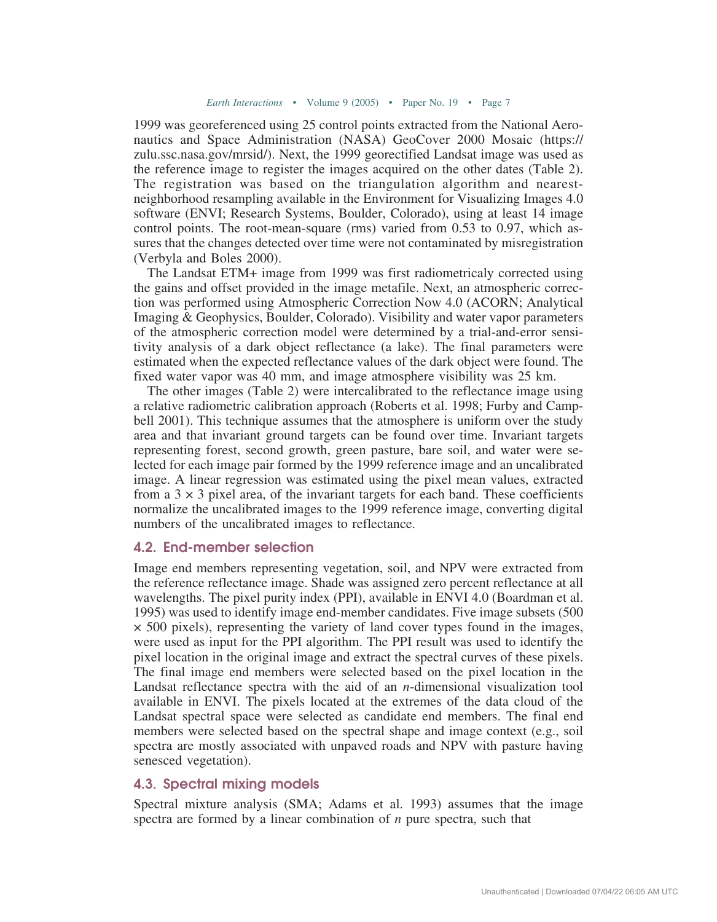1999 was georeferenced using 25 control points extracted from the National Aeronautics and Space Administration (NASA) GeoCover 2000 Mosaic (https:// zulu.ssc.nasa.gov/mrsid/). Next, the 1999 georectified Landsat image was used as the reference image to register the images acquired on the other dates (Table 2). The registration was based on the triangulation algorithm and nearestneighborhood resampling available in the Environment for Visualizing Images 4.0 software (ENVI; Research Systems, Boulder, Colorado), using at least 14 image control points. The root-mean-square (rms) varied from 0.53 to 0.97, which assures that the changes detected over time were not contaminated by misregistration (Verbyla and Boles 2000).

The Landsat ETM+ image from 1999 was first radiometricaly corrected using the gains and offset provided in the image metafile. Next, an atmospheric correction was performed using Atmospheric Correction Now 4.0 (ACORN; Analytical Imaging & Geophysics, Boulder, Colorado). Visibility and water vapor parameters of the atmospheric correction model were determined by a trial-and-error sensitivity analysis of a dark object reflectance (a lake). The final parameters were estimated when the expected reflectance values of the dark object were found. The fixed water vapor was 40 mm, and image atmosphere visibility was 25 km.

The other images (Table 2) were intercalibrated to the reflectance image using a relative radiometric calibration approach (Roberts et al. 1998; Furby and Campbell 2001). This technique assumes that the atmosphere is uniform over the study area and that invariant ground targets can be found over time. Invariant targets representing forest, second growth, green pasture, bare soil, and water were selected for each image pair formed by the 1999 reference image and an uncalibrated image. A linear regression was estimated using the pixel mean values, extracted from a  $3 \times 3$  pixel area, of the invariant targets for each band. These coefficients normalize the uncalibrated images to the 1999 reference image, converting digital numbers of the uncalibrated images to reflectance.

#### **4.2. End-member selection**

Image end members representing vegetation, soil, and NPV were extracted from the reference reflectance image. Shade was assigned zero percent reflectance at all wavelengths. The pixel purity index (PPI), available in ENVI 4.0 (Boardman et al. 1995) was used to identify image end-member candidates. Five image subsets (500  $\times$  500 pixels), representing the variety of land cover types found in the images, were used as input for the PPI algorithm. The PPI result was used to identify the pixel location in the original image and extract the spectral curves of these pixels. The final image end members were selected based on the pixel location in the Landsat reflectance spectra with the aid of an *n*-dimensional visualization tool available in ENVI. The pixels located at the extremes of the data cloud of the Landsat spectral space were selected as candidate end members. The final end members were selected based on the spectral shape and image context (e.g., soil spectra are mostly associated with unpaved roads and NPV with pasture having senesced vegetation).

#### **4.3. Spectral mixing models**

Spectral mixture analysis (SMA; Adams et al. 1993) assumes that the image spectra are formed by a linear combination of *n* pure spectra, such that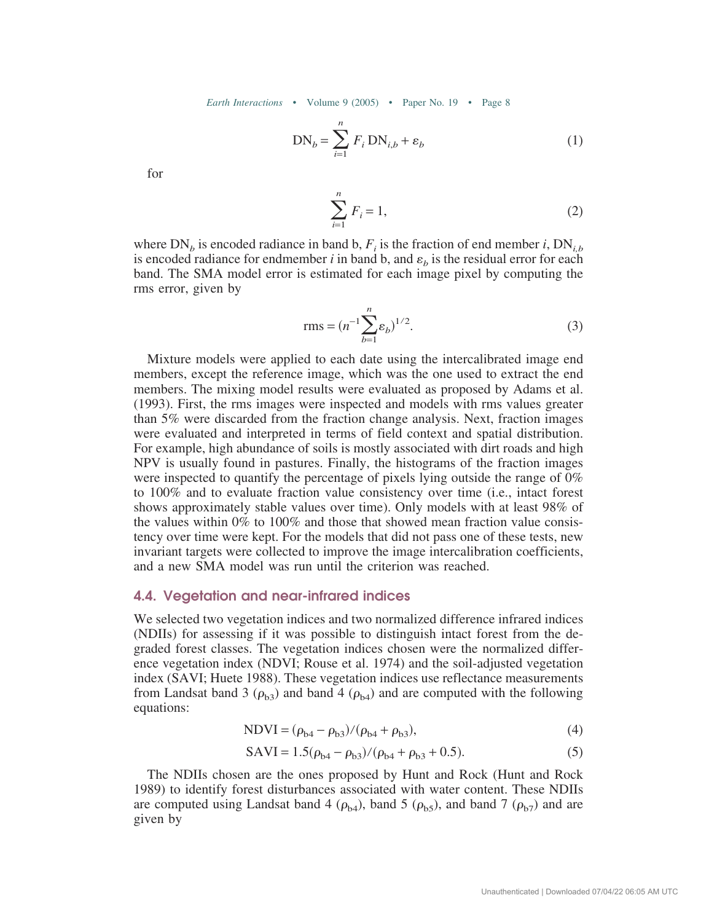$$
DN_b = \sum_{i=1}^{n} F_i DN_{i,b} + \varepsilon_b
$$
 (1)

for

$$
\sum_{i=1}^{n} F_i = 1,
$$
\n(2)

where  $DN_b$  is encoded radiance in band b,  $F_i$  is the fraction of end member *i*,  $DN_{i,b}$ is encoded radiance for endmember *i* in band b, and  $\varepsilon_h$  is the residual error for each band. The SMA model error is estimated for each image pixel by computing the rms error, given by

rms = 
$$
(n^{-1} \sum_{b=1}^{n} \varepsilon_b)^{1/2}
$$
. (3)

Mixture models were applied to each date using the intercalibrated image end members, except the reference image, which was the one used to extract the end members. The mixing model results were evaluated as proposed by Adams et al. (1993). First, the rms images were inspected and models with rms values greater than 5% were discarded from the fraction change analysis. Next, fraction images were evaluated and interpreted in terms of field context and spatial distribution. For example, high abundance of soils is mostly associated with dirt roads and high NPV is usually found in pastures. Finally, the histograms of the fraction images were inspected to quantify the percentage of pixels lying outside the range of 0% to 100% and to evaluate fraction value consistency over time (i.e., intact forest shows approximately stable values over time). Only models with at least 98% of the values within 0% to 100% and those that showed mean fraction value consistency over time were kept. For the models that did not pass one of these tests, new invariant targets were collected to improve the image intercalibration coefficients, and a new SMA model was run until the criterion was reached.

#### **4.4. Vegetation and near-infrared indices**

We selected two vegetation indices and two normalized difference infrared indices (NDIIs) for assessing if it was possible to distinguish intact forest from the degraded forest classes. The vegetation indices chosen were the normalized difference vegetation index (NDVI; Rouse et al. 1974) and the soil-adjusted vegetation index (SAVI; Huete 1988). These vegetation indices use reflectance measurements from Landsat band 3 ( $\rho_{b3}$ ) and band 4 ( $\rho_{b4}$ ) and are computed with the following equations:

$$
NDVI = (\rho_{b4} - \rho_{b3})/(\rho_{b4} + \rho_{b3}),
$$
\n(4)

$$
SAVI = 1.5(\rho_{b4} - \rho_{b3})/(\rho_{b4} + \rho_{b3} + 0.5). \tag{5}
$$

The NDIIs chosen are the ones proposed by Hunt and Rock (Hunt and Rock 1989) to identify forest disturbances associated with water content. These NDIIs are computed using Landsat band 4 ( $\rho_{b4}$ ), band 5 ( $\rho_{b5}$ ), and band 7 ( $\rho_{b7}$ ) and are given by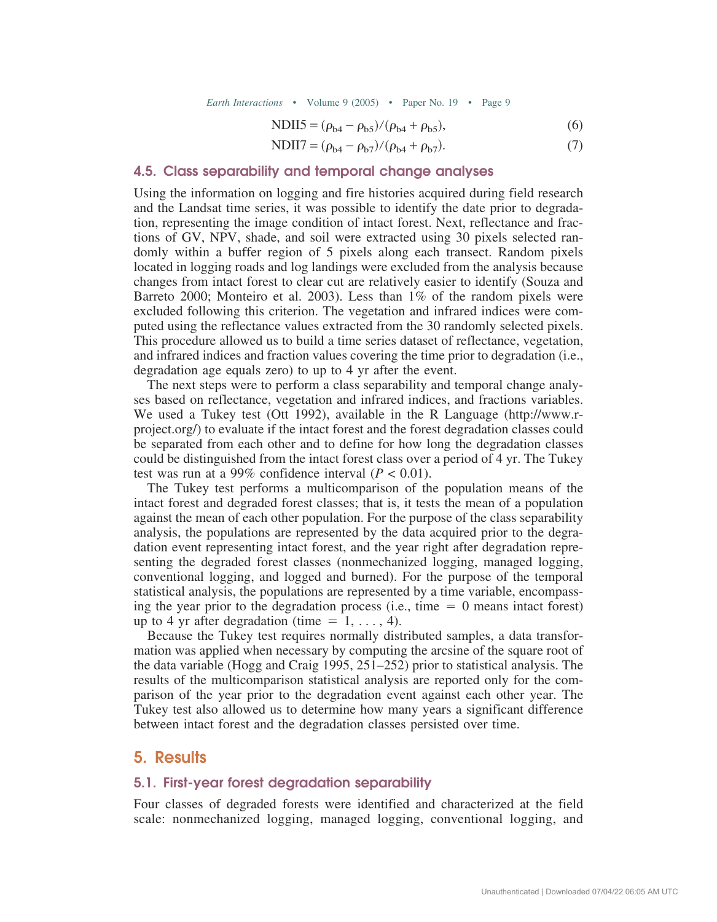NDII5 = 
$$
(\rho_{b4} - \rho_{b5})/(\rho_{b4} + \rho_{b5}),
$$
 (6)

NDII7 = 
$$
(\rho_{b4} - \rho_{b7})/(\rho_{b4} + \rho_{b7})
$$
. (7)

#### **4.5. Class separability and temporal change analyses**

Using the information on logging and fire histories acquired during field research and the Landsat time series, it was possible to identify the date prior to degradation, representing the image condition of intact forest. Next, reflectance and fractions of GV, NPV, shade, and soil were extracted using 30 pixels selected randomly within a buffer region of 5 pixels along each transect. Random pixels located in logging roads and log landings were excluded from the analysis because changes from intact forest to clear cut are relatively easier to identify (Souza and Barreto 2000; Monteiro et al. 2003). Less than 1% of the random pixels were excluded following this criterion. The vegetation and infrared indices were computed using the reflectance values extracted from the 30 randomly selected pixels. This procedure allowed us to build a time series dataset of reflectance, vegetation, and infrared indices and fraction values covering the time prior to degradation (i.e., degradation age equals zero) to up to 4 yr after the event.

The next steps were to perform a class separability and temporal change analyses based on reflectance, vegetation and infrared indices, and fractions variables. We used a Tukey test (Ott 1992), available in the R Language (http://www.rproject.org/) to evaluate if the intact forest and the forest degradation classes could be separated from each other and to define for how long the degradation classes could be distinguished from the intact forest class over a period of 4 yr. The Tukey test was run at a 99% confidence interval  $(P < 0.01)$ .

The Tukey test performs a multicomparison of the population means of the intact forest and degraded forest classes; that is, it tests the mean of a population against the mean of each other population. For the purpose of the class separability analysis, the populations are represented by the data acquired prior to the degradation event representing intact forest, and the year right after degradation representing the degraded forest classes (nonmechanized logging, managed logging, conventional logging, and logged and burned). For the purpose of the temporal statistical analysis, the populations are represented by a time variable, encompassing the year prior to the degradation process (i.e., time  $= 0$  means intact forest) up to 4 yr after degradation (time  $= 1, \ldots, 4$ ).

Because the Tukey test requires normally distributed samples, a data transformation was applied when necessary by computing the arcsine of the square root of the data variable (Hogg and Craig 1995, 251–252) prior to statistical analysis. The results of the multicomparison statistical analysis are reported only for the comparison of the year prior to the degradation event against each other year. The Tukey test also allowed us to determine how many years a significant difference between intact forest and the degradation classes persisted over time.

## **5. Results**

#### **5.1. First-year forest degradation separability**

Four classes of degraded forests were identified and characterized at the field scale: nonmechanized logging, managed logging, conventional logging, and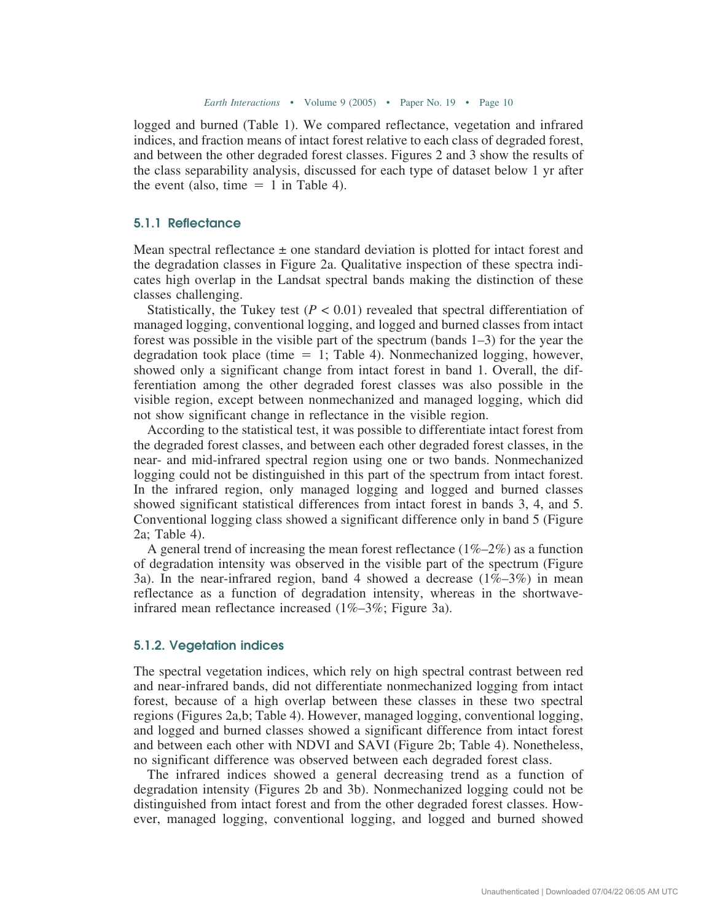logged and burned (Table 1). We compared reflectance, vegetation and infrared indices, and fraction means of intact forest relative to each class of degraded forest, and between the other degraded forest classes. Figures 2 and 3 show the results of the class separability analysis, discussed for each type of dataset below 1 yr after the event (also, time  $= 1$  in Table 4).

#### **5.1.1 Reflectance**

Mean spectral reflectance  $\pm$  one standard deviation is plotted for intact forest and the degradation classes in Figure 2a. Qualitative inspection of these spectra indicates high overlap in the Landsat spectral bands making the distinction of these classes challenging.

Statistically, the Tukey test  $(P < 0.01)$  revealed that spectral differentiation of managed logging, conventional logging, and logged and burned classes from intact forest was possible in the visible part of the spectrum (bands 1–3) for the year the degradation took place (time  $= 1$ ; Table 4). Nonmechanized logging, however, showed only a significant change from intact forest in band 1. Overall, the differentiation among the other degraded forest classes was also possible in the visible region, except between nonmechanized and managed logging, which did not show significant change in reflectance in the visible region.

According to the statistical test, it was possible to differentiate intact forest from the degraded forest classes, and between each other degraded forest classes, in the near- and mid-infrared spectral region using one or two bands. Nonmechanized logging could not be distinguished in this part of the spectrum from intact forest. In the infrared region, only managed logging and logged and burned classes showed significant statistical differences from intact forest in bands 3, 4, and 5. Conventional logging class showed a significant difference only in band 5 (Figure 2a; Table 4).

A general trend of increasing the mean forest reflectance  $(1\% - 2\%)$  as a function of degradation intensity was observed in the visible part of the spectrum (Figure 3a). In the near-infrared region, band 4 showed a decrease  $(1\% -3\%)$  in mean reflectance as a function of degradation intensity, whereas in the shortwaveinfrared mean reflectance increased (1%–3%; Figure 3a).

#### **5.1.2. Vegetation indices**

The spectral vegetation indices, which rely on high spectral contrast between red and near-infrared bands, did not differentiate nonmechanized logging from intact forest, because of a high overlap between these classes in these two spectral regions (Figures 2a,b; Table 4). However, managed logging, conventional logging, and logged and burned classes showed a significant difference from intact forest and between each other with NDVI and SAVI (Figure 2b; Table 4). Nonetheless, no significant difference was observed between each degraded forest class.

The infrared indices showed a general decreasing trend as a function of degradation intensity (Figures 2b and 3b). Nonmechanized logging could not be distinguished from intact forest and from the other degraded forest classes. However, managed logging, conventional logging, and logged and burned showed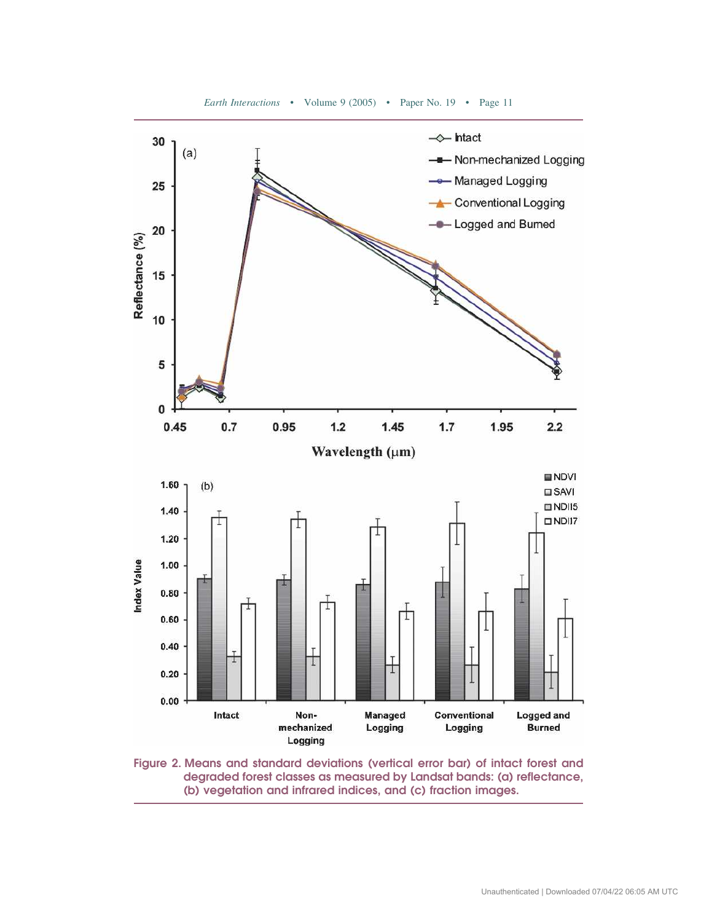

**Figure 2. Means and standard deviations (vertical error bar) of intact forest and degraded forest classes as measured by Landsat bands: (a) reflectance, (b) vegetation and infrared indices, and (c) fraction images.**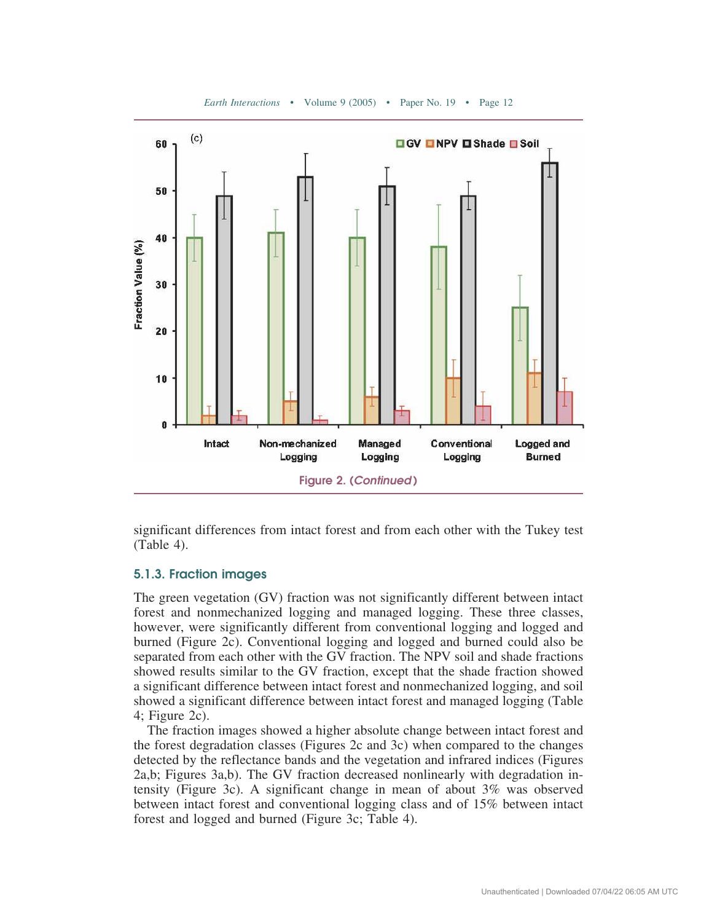

significant differences from intact forest and from each other with the Tukey test (Table 4).

#### **5.1.3. Fraction images**

The green vegetation (GV) fraction was not significantly different between intact forest and nonmechanized logging and managed logging. These three classes, however, were significantly different from conventional logging and logged and burned (Figure 2c). Conventional logging and logged and burned could also be separated from each other with the GV fraction. The NPV soil and shade fractions showed results similar to the GV fraction, except that the shade fraction showed a significant difference between intact forest and nonmechanized logging, and soil showed a significant difference between intact forest and managed logging (Table 4; Figure 2c).

The fraction images showed a higher absolute change between intact forest and the forest degradation classes (Figures 2c and 3c) when compared to the changes detected by the reflectance bands and the vegetation and infrared indices (Figures 2a,b; Figures 3a,b). The GV fraction decreased nonlinearly with degradation intensity (Figure 3c). A significant change in mean of about 3% was observed between intact forest and conventional logging class and of 15% between intact forest and logged and burned (Figure 3c; Table 4).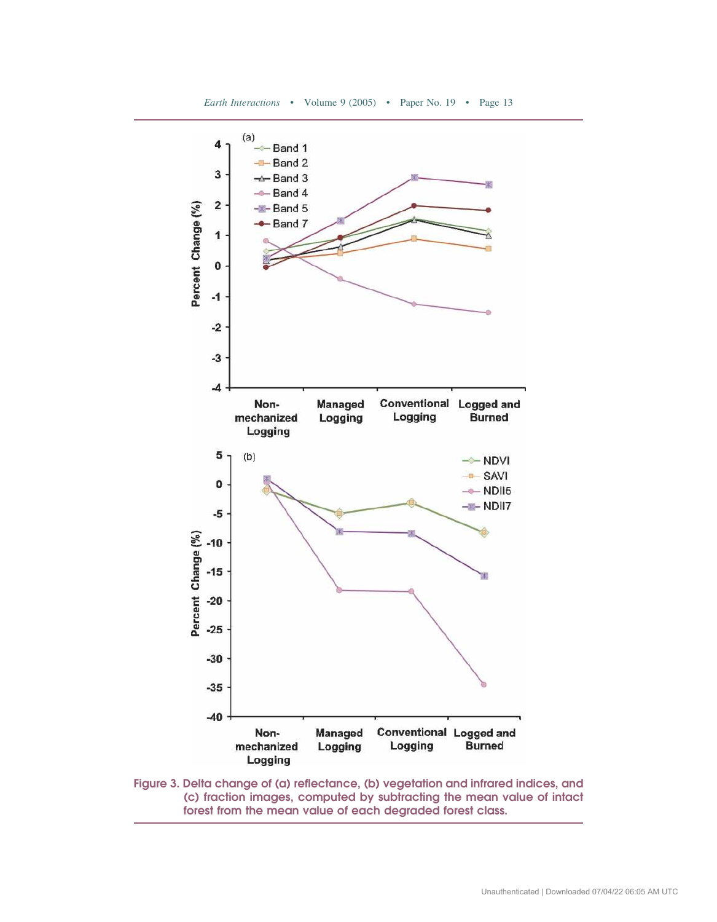

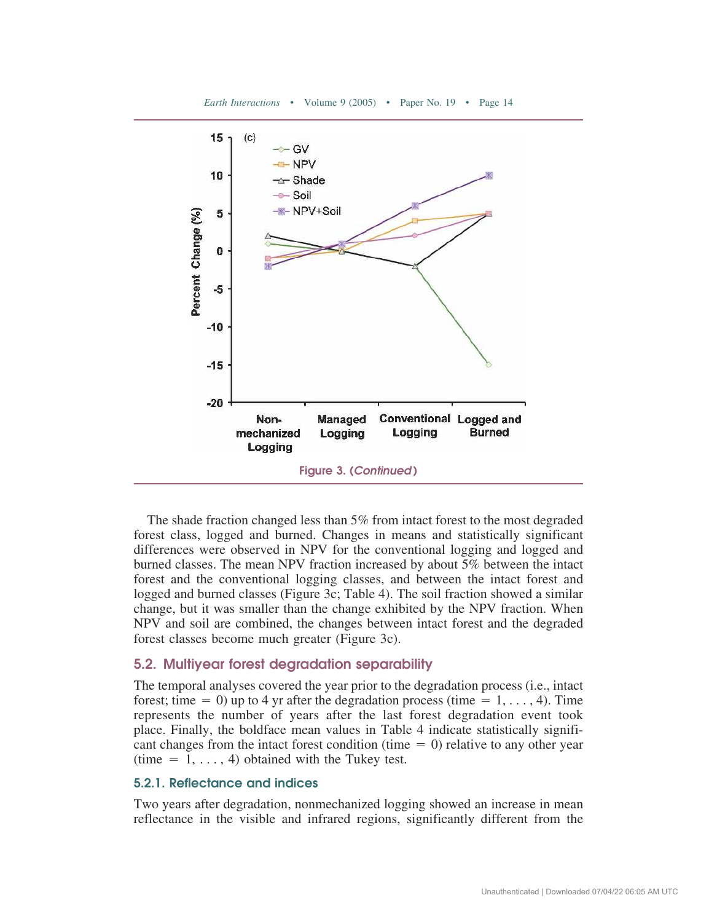

The shade fraction changed less than 5% from intact forest to the most degraded forest class, logged and burned. Changes in means and statistically significant differences were observed in NPV for the conventional logging and logged and burned classes. The mean NPV fraction increased by about 5% between the intact forest and the conventional logging classes, and between the intact forest and logged and burned classes (Figure 3c; Table 4). The soil fraction showed a similar change, but it was smaller than the change exhibited by the NPV fraction. When NPV and soil are combined, the changes between intact forest and the degraded forest classes become much greater (Figure 3c).

#### **5.2. Multiyear forest degradation separability**

The temporal analyses covered the year prior to the degradation process (i.e., intact forest; time  $= 0$ ) up to 4 yr after the degradation process (time  $= 1, \ldots, 4$ ). Time represents the number of years after the last forest degradation event took place. Finally, the boldface mean values in Table 4 indicate statistically significant changes from the intact forest condition (time  $= 0$ ) relative to any other year (time  $= 1, \ldots, 4$ ) obtained with the Tukey test.

#### **5.2.1. Reflectance and indices**

Two years after degradation, nonmechanized logging showed an increase in mean reflectance in the visible and infrared regions, significantly different from the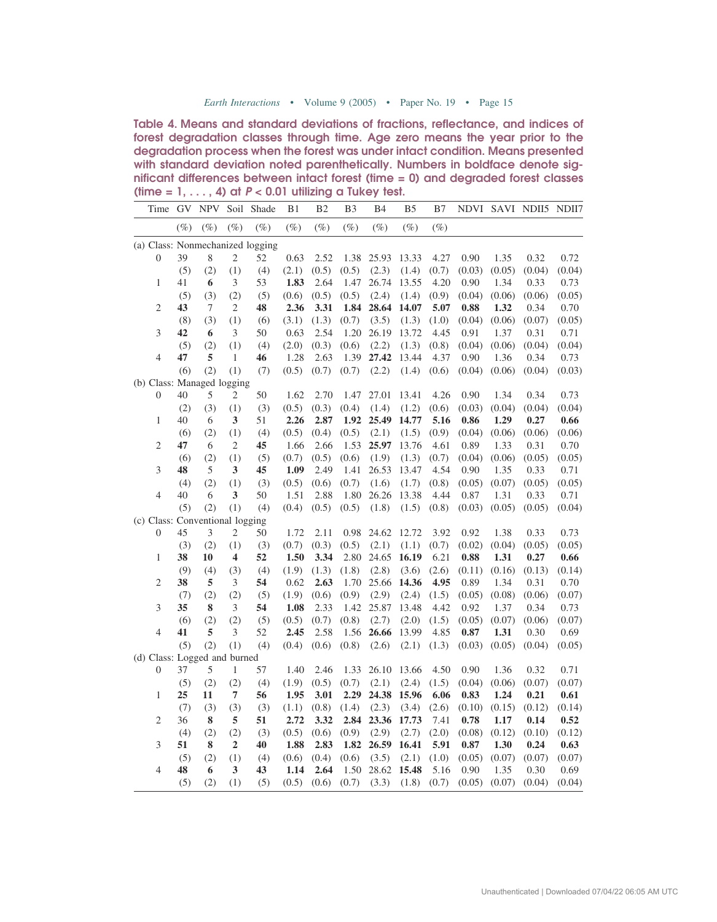**Table 4. Means and standard deviations of fractions, reflectance, and indices of forest degradation classes through time. Age zero means the year prior to the degradation process when the forest was under intact condition. Means presented with standard deviation noted parenthetically. Numbers in boldface denote significant differences between intact forest (time = 0) and degraded forest classes (time = 1, . . . , 4) at** *P* **< 0.01 utilizing a Tukey test.**

| Time             | GV     | <b>NPV</b>                             | Soil                    | Shade                            | B <sub>1</sub> | B <sub>2</sub> | B <sub>3</sub> | <b>B4</b> | B5     | B7     |        |        | NDVI SAVI NDII5 NDII7 |        |
|------------------|--------|----------------------------------------|-------------------------|----------------------------------|----------------|----------------|----------------|-----------|--------|--------|--------|--------|-----------------------|--------|
|                  | $(\%)$ | $(\%)$                                 | $(\%)$                  | $(\%)$                           | $(\%)$         | $(\%)$         | $(\%)$         | $(\%)$    | $(\%)$ | $(\%)$ |        |        |                       |        |
|                  |        |                                        |                         | (a) Class: Nonmechanized logging |                |                |                |           |        |        |        |        |                       |        |
| 0                | 39     | 8                                      | 2                       | 52                               | 0.63           | 2.52           | 1.38           | 25.93     | 13.33  | 4.27   | 0.90   | 1.35   | 0.32                  | 0.72   |
|                  | (5)    | (2)                                    | (1)                     | (4)                              | (2.1)          | (0.5)          | (0.5)          | (2.3)     | (1.4)  | (0.7)  | (0.03) | (0.05) | (0.04)                | (0.04) |
| $\mathbf{1}$     | 41     | 6                                      | 3                       | 53                               | 1.83           | 2.64           | 1.47           | 26.74     | 13.55  | 4.20   | 0.90   | 1.34   | 0.33                  | 0.73   |
|                  | (5)    | (3)                                    | (2)                     | (5)                              | (0.6)          | (0.5)          | (0.5)          | (2.4)     | (1.4)  | (0.9)  | (0.04) | (0.06) | (0.06)                | (0.05) |
| 2                | 43     | $\tau$                                 | 2                       | 48                               | 2.36           | 3.31           | 1.84           | 28.64     | 14.07  | 5.07   | 0.88   | 1.32   | 0.34                  | 0.70   |
|                  | (8)    | (3)                                    | (1)                     | (6)                              | (3.1)          | (1.3)          | (0.7)          | (3.5)     | (1.3)  | (1.0)  | (0.04) | (0.06) | (0.07)                | (0.05) |
| 3                | 42     | 6                                      | 3                       | 50                               | 0.63           | 2.54           | 1.20           | 26.19     | 13.72  | 4.45   | 0.91   | 1.37   | 0.31                  | 0.71   |
|                  | (5)    | (2)                                    | (1)                     | (4)                              | (2.0)          | (0.3)          | (0.6)          | (2.2)     | (1.3)  | (0.8)  | (0.04) | (0.06) | (0.04)                | (0.04) |
| $\overline{4}$   | 47     | 5                                      | 1                       | 46                               | 1.28           | 2.63           | 1.39           | 27.42     | 13.44  | 4.37   | 0.90   | 1.36   | 0.34                  | 0.73   |
|                  | (6)    | (2)                                    | (1)                     | (7)                              | (0.5)          | (0.7)          | (0.7)          | (2.2)     | (1.4)  | (0.6)  | (0.04) | (0.06) | (0.04)                | (0.03) |
|                  |        | (b) Class: Managed logging             |                         |                                  |                |                |                |           |        |        |        |        |                       |        |
| $\boldsymbol{0}$ | 40     | 5                                      | 2                       | 50                               | 1.62           | 2.70           | 1.47           | 27.01     | 13.41  | 4.26   | 0.90   | 1.34   | 0.34                  | 0.73   |
|                  | (2)    | (3)                                    | (1)                     | (3)                              | (0.5)          | (0.3)          | (0.4)          | (1.4)     | (1.2)  | (0.6)  | (0.03) | (0.04) | (0.04)                | (0.04) |
| $\mathbf{1}$     | 40     | 6                                      | 3                       | 51                               | 2.26           | 2.87           | 1.92           | 25.49     | 14.77  | 5.16   | 0.86   | 1.29   | 0.27                  | 0.66   |
|                  | (6)    | (2)                                    | (1)                     | (4)                              | (0.5)          | (0.4)          | (0.5)          | (2.1)     | (1.5)  | (0.9)  | (0.04) | (0.06) | (0.06)                | (0.06) |
| 2                | 47     | 6                                      | $\mathfrak{2}$          | 45                               | 1.66           | 2.66           | 1.53           | 25.97     | 13.76  | 4.61   | 0.89   | 1.33   | 0.31                  | 0.70   |
|                  | (6)    | (2)                                    | (1)                     | (5)                              | (0.7)          | (0.5)          | (0.6)          | (1.9)     | (1.3)  | (0.7)  | (0.04) | (0.06) | (0.05)                | (0.05) |
| 3                | 48     | 5                                      | 3                       | 45                               | 1.09           | 2.49           | 1.41           | 26.53     | 13.47  | 4.54   | 0.90   | 1.35   | 0.33                  | 0.71   |
|                  | (4)    | (2)                                    | (1)                     | (3)                              | (0.5)          | (0.6)          | (0.7)          | (1.6)     | (1.7)  | (0.8)  | (0.05) | (0.07) | (0.05)                | (0.05) |
| $\overline{4}$   | 40     | 6                                      | 3                       | 50                               | 1.51           | 2.88           | 1.80           | 26.26     | 13.38  | 4.44   | 0.87   | 1.31   | 0.33                  | 0.71   |
|                  | (5)    | (2)<br>(c) Class: Conventional logging | (1)                     | (4)                              | (0.4)          | (0.5)          | (0.5)          | (1.8)     | (1.5)  | (0.8)  | (0.03) | (0.05) | (0.05)                | (0.04) |
| 0                | 45     | 3                                      | 2                       | 50                               | 1.72           | 2.11           | 0.98           | 24.62     | 12.72  | 3.92   | 0.92   | 1.38   | 0.33                  | 0.73   |
|                  | (3)    | (2)                                    | (1)                     | (3)                              | (0.7)          | (0.3)          | (0.5)          | (2.1)     | (1.1)  | (0.7)  | (0.02) | (0.04) | (0.05)                | (0.05) |
| $\mathbf{1}$     | 38     | 10                                     | $\overline{\mathbf{4}}$ | 52                               | 1.50           | 3.34           | 2.80           | 24.65     | 16.19  | 6.21   | 0.88   | 1.31   | 0.27                  | 0.66   |
|                  | (9)    | (4)                                    | (3)                     | (4)                              | (1.9)          | (1.3)          | (1.8)          | (2.8)     | (3.6)  | (2.6)  | (0.11) | (0.16) | (0.13)                | (0.14) |
| 2                | 38     | 5                                      | 3                       | 54                               | 0.62           | 2.63           | 1.70           | 25.66     | 14.36  | 4.95   | 0.89   | 1.34   | 0.31                  | 0.70   |
|                  | (7)    | (2)                                    | (2)                     | (5)                              | (1.9)          | (0.6)          | (0.9)          | (2.9)     | (2.4)  | (1.5)  | (0.05) | (0.08) | (0.06)                | (0.07) |
| 3                | 35     | 8                                      | 3                       | 54                               | 1.08           | 2.33           | 1.42           | 25.87     | 13.48  | 4.42   | 0.92   | 1.37   | 0.34                  | 0.73   |
|                  | (6)    | (2)                                    | (2)                     | (5)                              | (0.5)          | (0.7)          | (0.8)          | (2.7)     | (2.0)  | (1.5)  | (0.05) | (0.07) | (0.06)                | (0.07) |
| $\overline{4}$   | 41     | 5                                      | 3                       | 52                               | 2.45           | 2.58           | 1.56           | 26.66     | 13.99  | 4.85   | 0.87   | 1.31   | 0.30                  | 0.69   |
|                  | (5)    | (2)                                    | (1)                     | (4)                              | (0.4)          | (0.6)          | (0.8)          | (2.6)     | (2.1)  | (1.3)  | (0.03) | (0.05) | (0.04)                | (0.05) |
|                  |        | (d) Class: Logged and burned           |                         |                                  |                |                |                |           |        |        |        |        |                       |        |
| $\boldsymbol{0}$ | 37     | 5                                      | $\mathbf{1}$            | 57                               | 1.40           | 2.46           | 1.33           | 26.10     | 13.66  | 4.50   | 0.90   | 1.36   | 0.32                  | 0.71   |
|                  | (5)    | (2)                                    | (2)                     | (4)                              | (1.9)          | (0.5)          | (0.7)          | (2.1)     | (2.4)  | (1.5)  | (0.04) | (0.06) | (0.07)                | (0.07) |
| $\mathbf{1}$     | 25     | 11                                     | 7                       | 56                               | 1.95           | 3.01           | 2.29           | 24.38     | 15.96  | 6.06   | 0.83   | 1.24   | 0.21                  | 0.61   |
|                  | (7)    | (3)                                    | (3)                     | (3)                              | (1.1)          | (0.8)          | (1.4)          | (2.3)     | (3.4)  | (2.6)  | (0.10) | (0.15) | (0.12)                | (0.14) |
| 2                | 36     | 8                                      | 5                       | 51                               | 2.72           | 3.32           | 2.84           | 23.36     | 17.73  | 7.41   | 0.78   | 1.17   | 0.14                  | 0.52   |
|                  | (4)    | (2)                                    | (2)                     | (3)                              | (0.5)          | (0.6)          | (0.9)          | (2.9)     | (2.7)  | (2.0)  | (0.08) | (0.12) | (0.10)                | (0.12) |
| 3                | 51     | 8                                      | $\overline{2}$          | 40                               | 1.88           | 2.83           | 1.82           | 26.59     | 16.41  | 5.91   | 0.87   | 1.30   | 0.24                  | 0.63   |
|                  | (5)    | (2)                                    | (1)                     | (4)                              | (0.6)          | (0.4)          | (0.6)          | (3.5)     | (2.1)  | (1.0)  | (0.05) | (0.07) | (0.07)                | (0.07) |
| 4                | 48     | 6                                      | 3                       | 43                               | 1.14           | 2.64           | 1.50           | 28.62     | 15.48  | 5.16   | 0.90   | 1.35   | 0.30                  | 0.69   |
|                  | (5)    | (2)                                    | (1)                     | (5)                              | (0.5)          | (0.6)          | (0.7)          | (3.3)     | (1.8)  | (0.7)  | (0.05) | (0.07) | (0.04)                | (0.04) |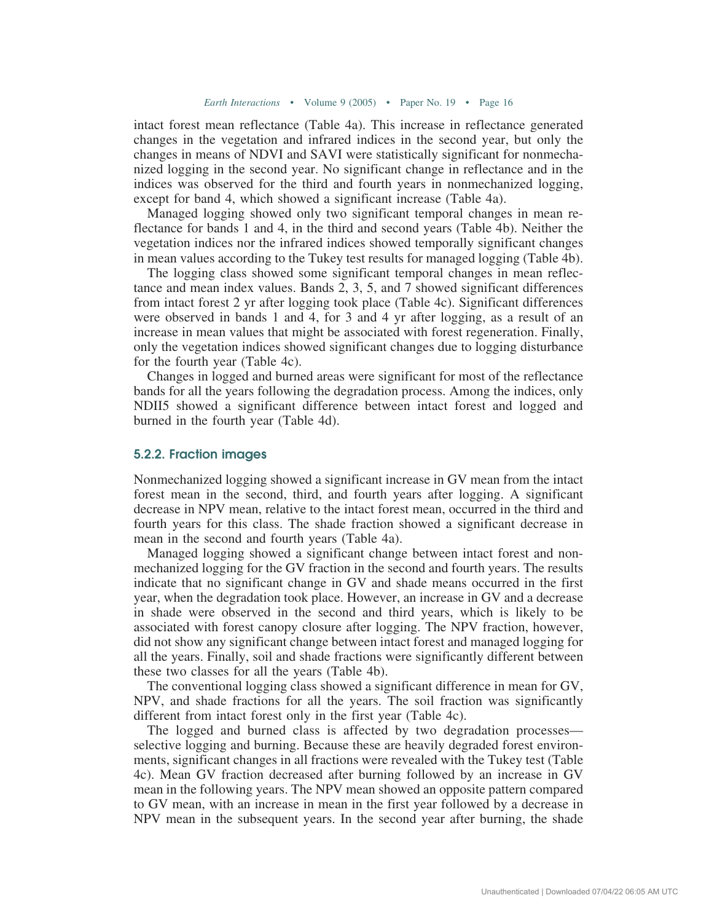intact forest mean reflectance (Table 4a). This increase in reflectance generated changes in the vegetation and infrared indices in the second year, but only the changes in means of NDVI and SAVI were statistically significant for nonmechanized logging in the second year. No significant change in reflectance and in the indices was observed for the third and fourth years in nonmechanized logging, except for band 4, which showed a significant increase (Table 4a).

Managed logging showed only two significant temporal changes in mean reflectance for bands 1 and 4, in the third and second years (Table 4b). Neither the vegetation indices nor the infrared indices showed temporally significant changes in mean values according to the Tukey test results for managed logging (Table 4b).

The logging class showed some significant temporal changes in mean reflectance and mean index values. Bands 2, 3, 5, and 7 showed significant differences from intact forest 2 yr after logging took place (Table 4c). Significant differences were observed in bands 1 and 4, for 3 and 4 yr after logging, as a result of an increase in mean values that might be associated with forest regeneration. Finally, only the vegetation indices showed significant changes due to logging disturbance for the fourth year (Table 4c).

Changes in logged and burned areas were significant for most of the reflectance bands for all the years following the degradation process. Among the indices, only NDII5 showed a significant difference between intact forest and logged and burned in the fourth year (Table 4d).

#### **5.2.2. Fraction images**

Nonmechanized logging showed a significant increase in GV mean from the intact forest mean in the second, third, and fourth years after logging. A significant decrease in NPV mean, relative to the intact forest mean, occurred in the third and fourth years for this class. The shade fraction showed a significant decrease in mean in the second and fourth years (Table 4a).

Managed logging showed a significant change between intact forest and nonmechanized logging for the GV fraction in the second and fourth years. The results indicate that no significant change in GV and shade means occurred in the first year, when the degradation took place. However, an increase in GV and a decrease in shade were observed in the second and third years, which is likely to be associated with forest canopy closure after logging. The NPV fraction, however, did not show any significant change between intact forest and managed logging for all the years. Finally, soil and shade fractions were significantly different between these two classes for all the years (Table 4b).

The conventional logging class showed a significant difference in mean for GV, NPV, and shade fractions for all the years. The soil fraction was significantly different from intact forest only in the first year (Table 4c).

The logged and burned class is affected by two degradation processes selective logging and burning. Because these are heavily degraded forest environments, significant changes in all fractions were revealed with the Tukey test (Table 4c). Mean GV fraction decreased after burning followed by an increase in GV mean in the following years. The NPV mean showed an opposite pattern compared to GV mean, with an increase in mean in the first year followed by a decrease in NPV mean in the subsequent years. In the second year after burning, the shade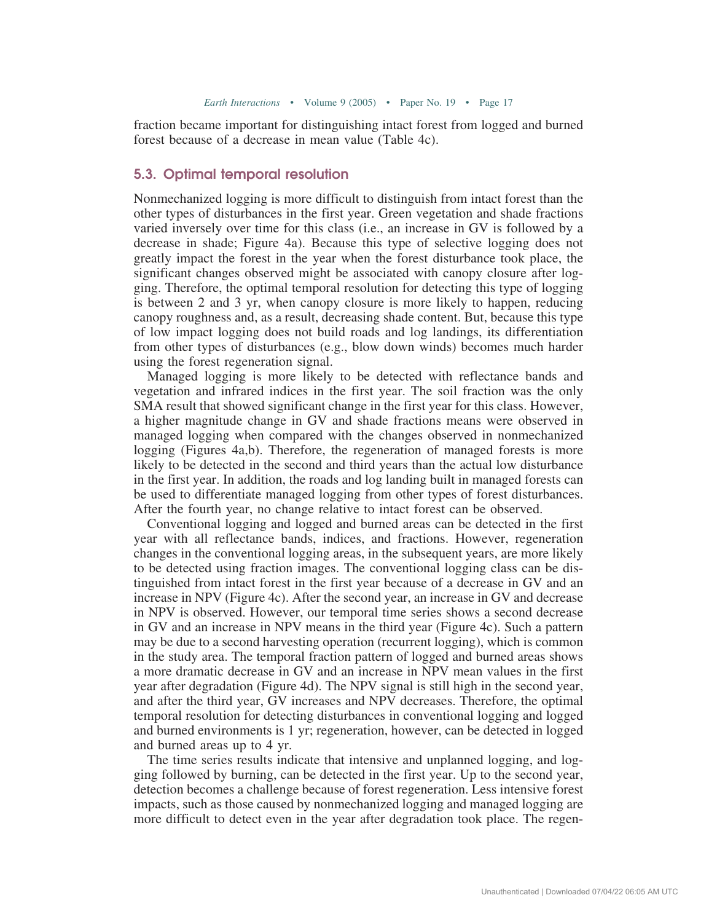fraction became important for distinguishing intact forest from logged and burned forest because of a decrease in mean value (Table 4c).

#### **5.3. Optimal temporal resolution**

Nonmechanized logging is more difficult to distinguish from intact forest than the other types of disturbances in the first year. Green vegetation and shade fractions varied inversely over time for this class (i.e., an increase in GV is followed by a decrease in shade; Figure 4a). Because this type of selective logging does not greatly impact the forest in the year when the forest disturbance took place, the significant changes observed might be associated with canopy closure after logging. Therefore, the optimal temporal resolution for detecting this type of logging is between 2 and 3 yr, when canopy closure is more likely to happen, reducing canopy roughness and, as a result, decreasing shade content. But, because this type of low impact logging does not build roads and log landings, its differentiation from other types of disturbances (e.g., blow down winds) becomes much harder using the forest regeneration signal.

Managed logging is more likely to be detected with reflectance bands and vegetation and infrared indices in the first year. The soil fraction was the only SMA result that showed significant change in the first year for this class. However, a higher magnitude change in GV and shade fractions means were observed in managed logging when compared with the changes observed in nonmechanized logging (Figures 4a,b). Therefore, the regeneration of managed forests is more likely to be detected in the second and third years than the actual low disturbance in the first year. In addition, the roads and log landing built in managed forests can be used to differentiate managed logging from other types of forest disturbances. After the fourth year, no change relative to intact forest can be observed.

Conventional logging and logged and burned areas can be detected in the first year with all reflectance bands, indices, and fractions. However, regeneration changes in the conventional logging areas, in the subsequent years, are more likely to be detected using fraction images. The conventional logging class can be distinguished from intact forest in the first year because of a decrease in GV and an increase in NPV (Figure 4c). After the second year, an increase in GV and decrease in NPV is observed. However, our temporal time series shows a second decrease in GV and an increase in NPV means in the third year (Figure 4c). Such a pattern may be due to a second harvesting operation (recurrent logging), which is common in the study area. The temporal fraction pattern of logged and burned areas shows a more dramatic decrease in GV and an increase in NPV mean values in the first year after degradation (Figure 4d). The NPV signal is still high in the second year, and after the third year, GV increases and NPV decreases. Therefore, the optimal temporal resolution for detecting disturbances in conventional logging and logged and burned environments is 1 yr; regeneration, however, can be detected in logged and burned areas up to 4 yr.

The time series results indicate that intensive and unplanned logging, and logging followed by burning, can be detected in the first year. Up to the second year, detection becomes a challenge because of forest regeneration. Less intensive forest impacts, such as those caused by nonmechanized logging and managed logging are more difficult to detect even in the year after degradation took place. The regen-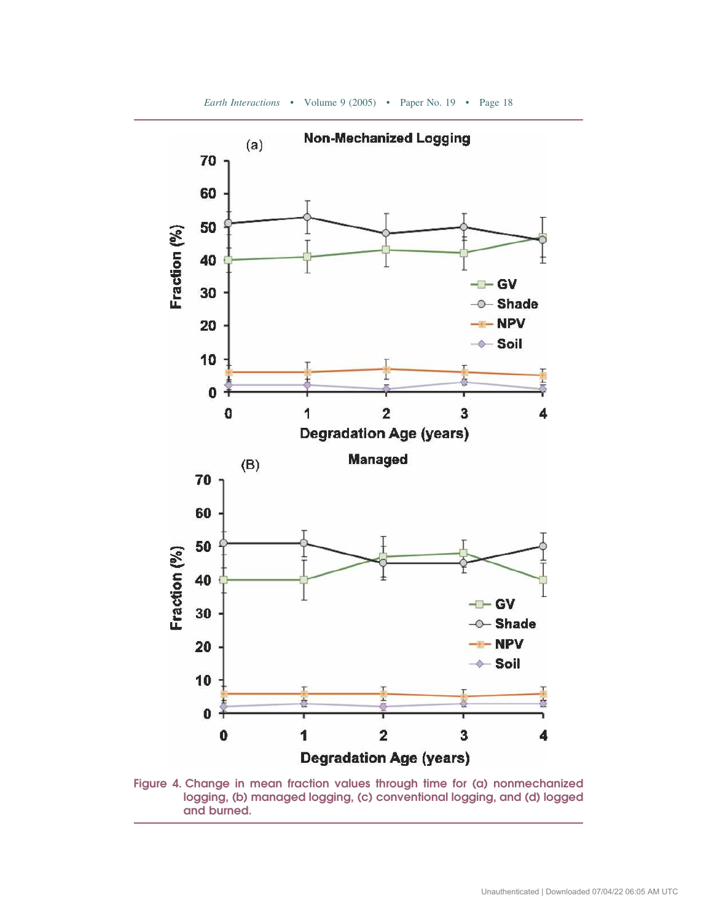

**Figure 4. Change in mean fraction values through time for (a) nonmechanized logging, (b) managed logging, (c) conventional logging, and (d) logged and burned.**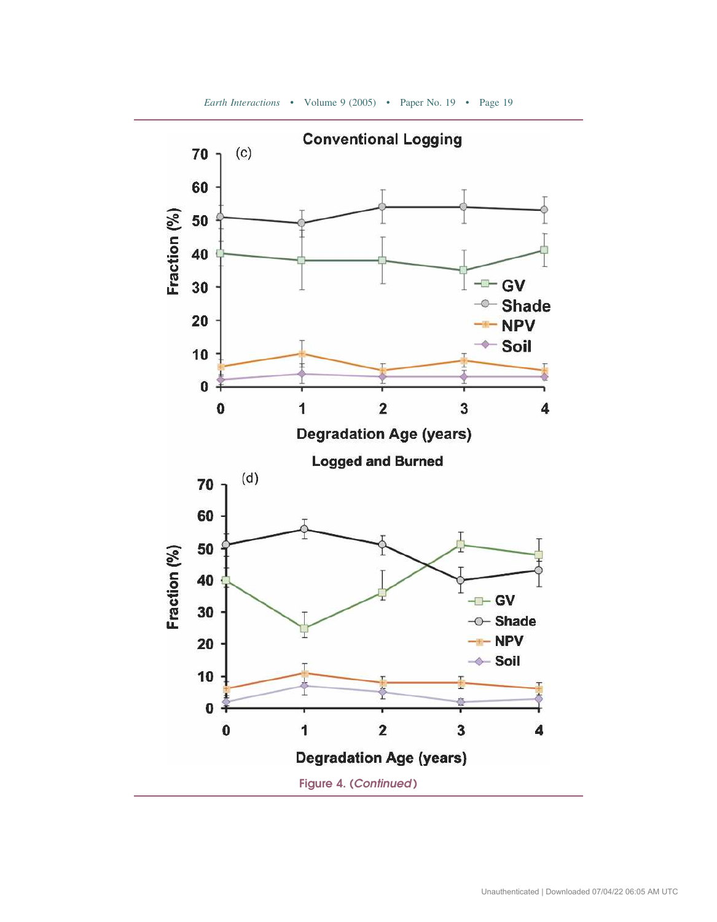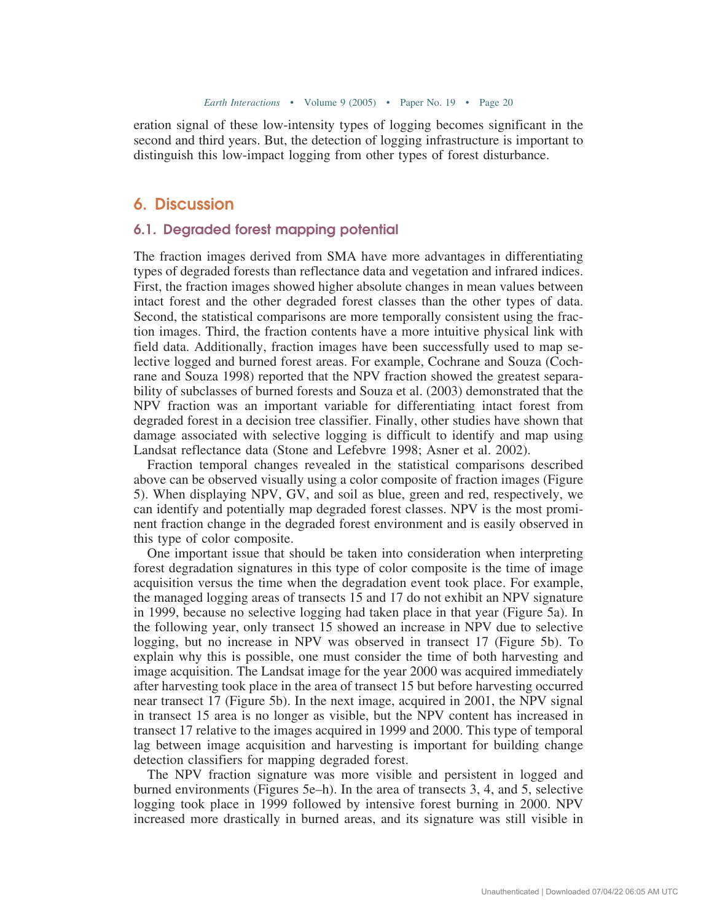eration signal of these low-intensity types of logging becomes significant in the second and third years. But, the detection of logging infrastructure is important to distinguish this low-impact logging from other types of forest disturbance.

# **6. Discussion**

#### **6.1. Degraded forest mapping potential**

The fraction images derived from SMA have more advantages in differentiating types of degraded forests than reflectance data and vegetation and infrared indices. First, the fraction images showed higher absolute changes in mean values between intact forest and the other degraded forest classes than the other types of data. Second, the statistical comparisons are more temporally consistent using the fraction images. Third, the fraction contents have a more intuitive physical link with field data. Additionally, fraction images have been successfully used to map selective logged and burned forest areas. For example, Cochrane and Souza (Cochrane and Souza 1998) reported that the NPV fraction showed the greatest separability of subclasses of burned forests and Souza et al. (2003) demonstrated that the NPV fraction was an important variable for differentiating intact forest from degraded forest in a decision tree classifier. Finally, other studies have shown that damage associated with selective logging is difficult to identify and map using Landsat reflectance data (Stone and Lefebvre 1998; Asner et al. 2002).

Fraction temporal changes revealed in the statistical comparisons described above can be observed visually using a color composite of fraction images (Figure 5). When displaying NPV, GV, and soil as blue, green and red, respectively, we can identify and potentially map degraded forest classes. NPV is the most prominent fraction change in the degraded forest environment and is easily observed in this type of color composite.

One important issue that should be taken into consideration when interpreting forest degradation signatures in this type of color composite is the time of image acquisition versus the time when the degradation event took place. For example, the managed logging areas of transects 15 and 17 do not exhibit an NPV signature in 1999, because no selective logging had taken place in that year (Figure 5a). In the following year, only transect 15 showed an increase in NPV due to selective logging, but no increase in NPV was observed in transect 17 (Figure 5b). To explain why this is possible, one must consider the time of both harvesting and image acquisition. The Landsat image for the year 2000 was acquired immediately after harvesting took place in the area of transect 15 but before harvesting occurred near transect 17 (Figure 5b). In the next image, acquired in 2001, the NPV signal in transect 15 area is no longer as visible, but the NPV content has increased in transect 17 relative to the images acquired in 1999 and 2000. This type of temporal lag between image acquisition and harvesting is important for building change detection classifiers for mapping degraded forest.

The NPV fraction signature was more visible and persistent in logged and burned environments (Figures 5e–h). In the area of transects 3, 4, and 5, selective logging took place in 1999 followed by intensive forest burning in 2000. NPV increased more drastically in burned areas, and its signature was still visible in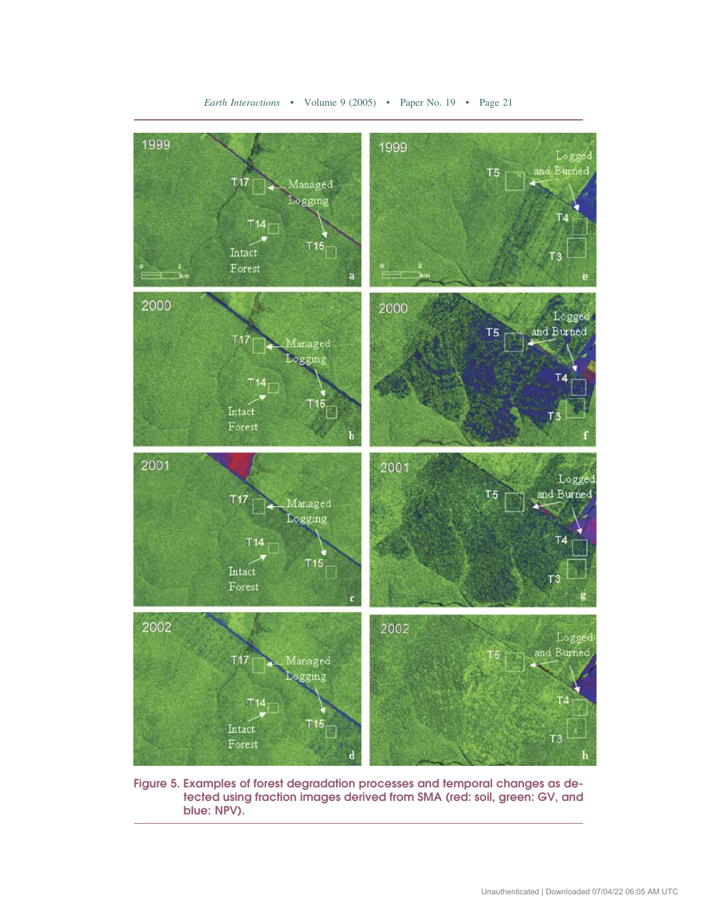

**Figure 5. Examples of forest degradation processes and temporal changes as detected using fraction images derived from SMA (red: soil, green: GV, and blue: NPV).**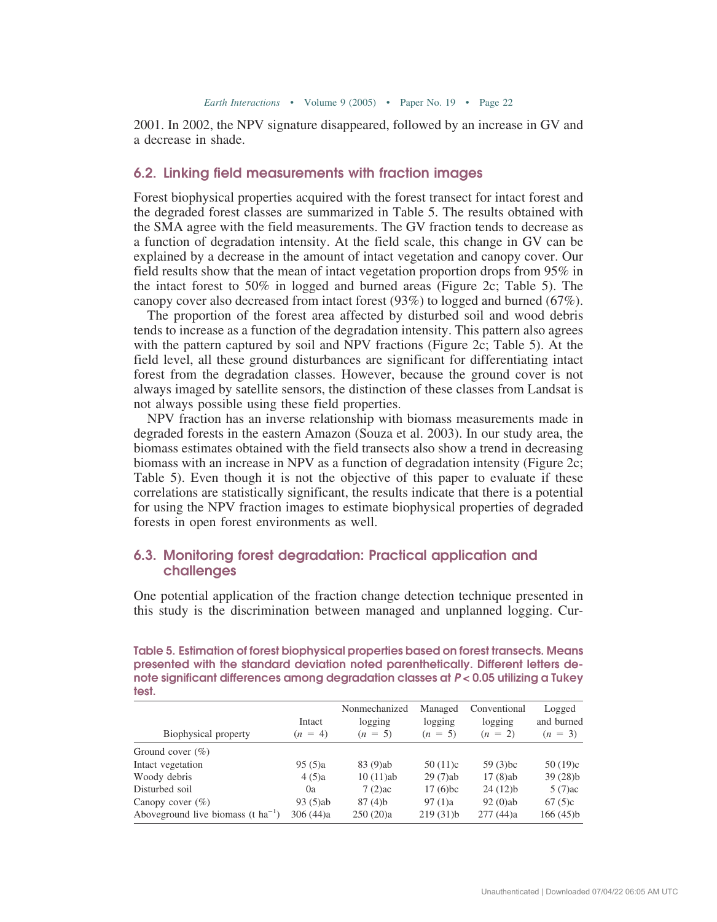2001. In 2002, the NPV signature disappeared, followed by an increase in GV and a decrease in shade.

#### **6.2. Linking field measurements with fraction images**

Forest biophysical properties acquired with the forest transect for intact forest and the degraded forest classes are summarized in Table 5. The results obtained with the SMA agree with the field measurements. The GV fraction tends to decrease as a function of degradation intensity. At the field scale, this change in GV can be explained by a decrease in the amount of intact vegetation and canopy cover. Our field results show that the mean of intact vegetation proportion drops from 95% in the intact forest to 50% in logged and burned areas (Figure 2c; Table 5). The canopy cover also decreased from intact forest  $(93\%)$  to logged and burned  $(67\%).$ 

The proportion of the forest area affected by disturbed soil and wood debris tends to increase as a function of the degradation intensity. This pattern also agrees with the pattern captured by soil and NPV fractions (Figure 2c; Table 5). At the field level, all these ground disturbances are significant for differentiating intact forest from the degradation classes. However, because the ground cover is not always imaged by satellite sensors, the distinction of these classes from Landsat is not always possible using these field properties.

NPV fraction has an inverse relationship with biomass measurements made in degraded forests in the eastern Amazon (Souza et al. 2003). In our study area, the biomass estimates obtained with the field transects also show a trend in decreasing biomass with an increase in NPV as a function of degradation intensity (Figure 2c; Table 5). Even though it is not the objective of this paper to evaluate if these correlations are statistically significant, the results indicate that there is a potential for using the NPV fraction images to estimate biophysical properties of degraded forests in open forest environments as well.

# **6.3. Monitoring forest degradation: Practical application and challenges**

One potential application of the fraction change detection technique presented in this study is the discrimination between managed and unplanned logging. Cur-

| Table 5. Estimation of forest biophysical properties based on forest transects. Means |
|---------------------------------------------------------------------------------------|
| presented with the standard deviation noted parenthetically. Different letters de-    |
| note significant differences among degradation classes at P < 0.05 utilizing a Tukey  |
| test.                                                                                 |

| Biophysical property                    | Intact<br>$(n = 4)$ | Nonmechanized<br>logging<br>$(n = 5)$ | Managed<br>logging<br>$(n = 5)$ | Conventional<br>logging<br>$(n = 2)$ | Logged<br>and burned<br>$(n = 3)$ |
|-----------------------------------------|---------------------|---------------------------------------|---------------------------------|--------------------------------------|-----------------------------------|
| Ground cover $(\%)$                     |                     |                                       |                                 |                                      |                                   |
| Intact vegetation                       | 95(5)a              | 83(9)ab                               | 50(11)c                         | 59(3)bc                              | 50(19)c                           |
| Woody debris                            | 4(5)a               | 10(11)ab                              | 29(7)ab                         | 17(8)ab                              | $39(28)$ b                        |
| Disturbed soil                          | 0a                  | 7(2)ac                                | 17(6)bc                         | 24(12)b                              | 5(7)ac                            |
| Canopy cover $(\%)$                     | 93(5)ab             | $87(4)$ b                             | 97(1)a                          | $92(0)$ ab                           | 67(5)c                            |
| Aboveground live biomass (t $ha^{-1}$ ) | 306(44)a            | 250(20)a                              | 219(31)b                        | 277(44)a                             | 166(45)b                          |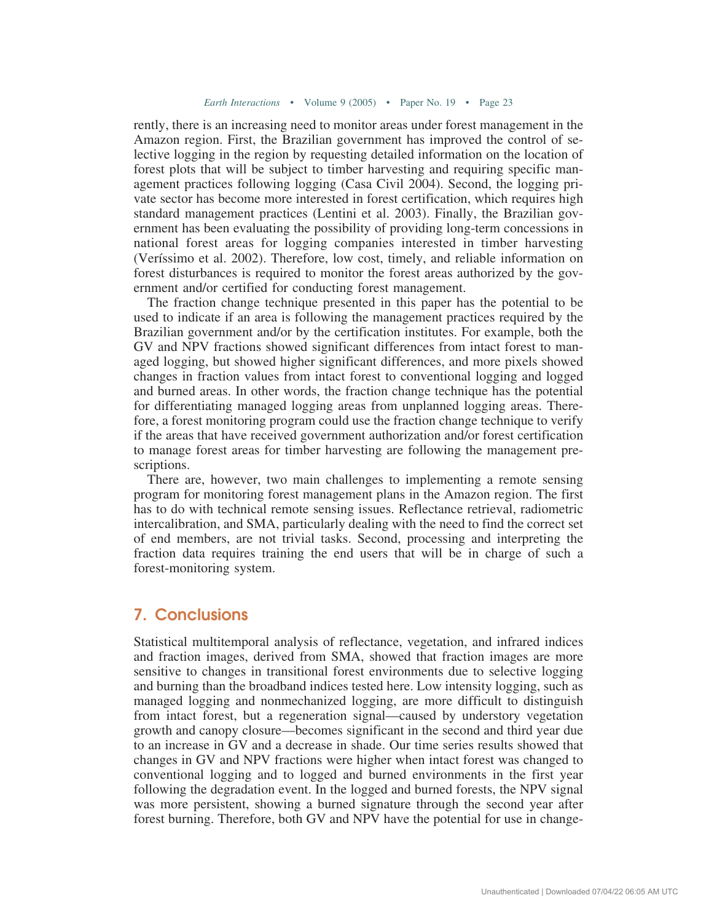rently, there is an increasing need to monitor areas under forest management in the Amazon region. First, the Brazilian government has improved the control of selective logging in the region by requesting detailed information on the location of forest plots that will be subject to timber harvesting and requiring specific management practices following logging (Casa Civil 2004). Second, the logging private sector has become more interested in forest certification, which requires high standard management practices (Lentini et al. 2003). Finally, the Brazilian government has been evaluating the possibility of providing long-term concessions in national forest areas for logging companies interested in timber harvesting (Veríssimo et al. 2002). Therefore, low cost, timely, and reliable information on forest disturbances is required to monitor the forest areas authorized by the government and/or certified for conducting forest management.

The fraction change technique presented in this paper has the potential to be used to indicate if an area is following the management practices required by the Brazilian government and/or by the certification institutes. For example, both the GV and NPV fractions showed significant differences from intact forest to managed logging, but showed higher significant differences, and more pixels showed changes in fraction values from intact forest to conventional logging and logged and burned areas. In other words, the fraction change technique has the potential for differentiating managed logging areas from unplanned logging areas. Therefore, a forest monitoring program could use the fraction change technique to verify if the areas that have received government authorization and/or forest certification to manage forest areas for timber harvesting are following the management prescriptions.

There are, however, two main challenges to implementing a remote sensing program for monitoring forest management plans in the Amazon region. The first has to do with technical remote sensing issues. Reflectance retrieval, radiometric intercalibration, and SMA, particularly dealing with the need to find the correct set of end members, are not trivial tasks. Second, processing and interpreting the fraction data requires training the end users that will be in charge of such a forest-monitoring system.

# **7. Conclusions**

Statistical multitemporal analysis of reflectance, vegetation, and infrared indices and fraction images, derived from SMA, showed that fraction images are more sensitive to changes in transitional forest environments due to selective logging and burning than the broadband indices tested here. Low intensity logging, such as managed logging and nonmechanized logging, are more difficult to distinguish from intact forest, but a regeneration signal—caused by understory vegetation growth and canopy closure—becomes significant in the second and third year due to an increase in GV and a decrease in shade. Our time series results showed that changes in GV and NPV fractions were higher when intact forest was changed to conventional logging and to logged and burned environments in the first year following the degradation event. In the logged and burned forests, the NPV signal was more persistent, showing a burned signature through the second year after forest burning. Therefore, both GV and NPV have the potential for use in change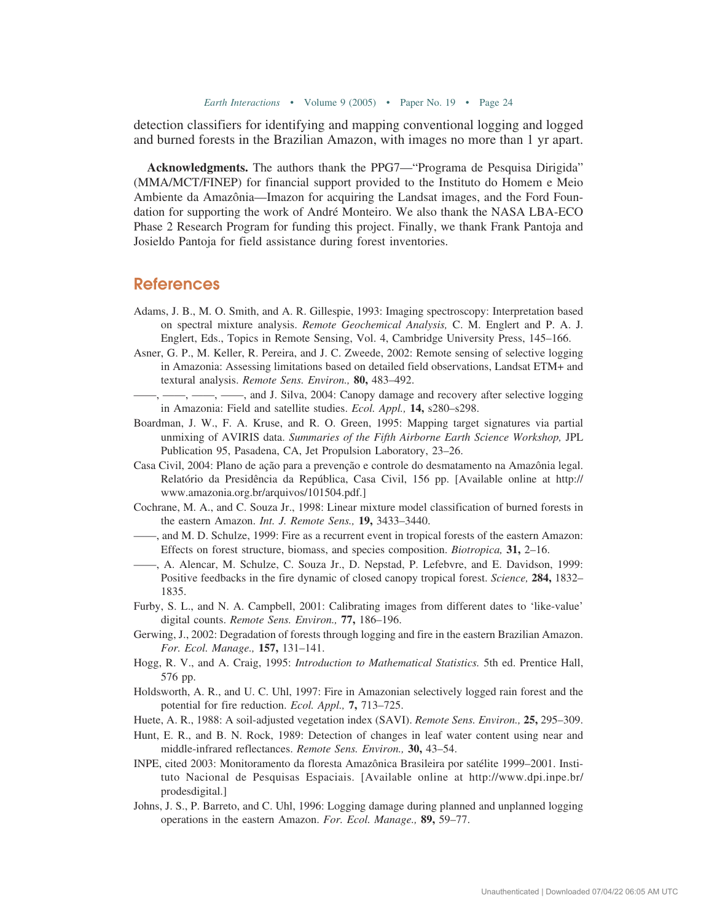detection classifiers for identifying and mapping conventional logging and logged and burned forests in the Brazilian Amazon, with images no more than 1 yr apart.

**Acknowledgments.** The authors thank the PPG7—"Programa de Pesquisa Dirigida" (MMA/MCT/FINEP) for financial support provided to the Instituto do Homem e Meio Ambiente da Amazônia—Imazon for acquiring the Landsat images, and the Ford Foundation for supporting the work of André Monteiro. We also thank the NASA LBA-ECO Phase 2 Research Program for funding this project. Finally, we thank Frank Pantoja and Josieldo Pantoja for field assistance during forest inventories.

### **References**

- Adams, J. B., M. O. Smith, and A. R. Gillespie, 1993: Imaging spectroscopy: Interpretation based on spectral mixture analysis. *Remote Geochemical Analysis,* C. M. Englert and P. A. J. Englert, Eds., Topics in Remote Sensing, Vol. 4, Cambridge University Press, 145–166.
- Asner, G. P., M. Keller, R. Pereira, and J. C. Zweede, 2002: Remote sensing of selective logging in Amazonia: Assessing limitations based on detailed field observations, Landsat ETM+ and textural analysis. *Remote Sens. Environ.,* **80,** 483–492.
- $\rightarrow$ ,  $\rightarrow$ , and J. Silva, 2004: Canopy damage and recovery after selective logging in Amazonia: Field and satellite studies. *Ecol. Appl.,* **14,** s280–s298.
- Boardman, J. W., F. A. Kruse, and R. O. Green, 1995: Mapping target signatures via partial unmixing of AVIRIS data. *Summaries of the Fifth Airborne Earth Science Workshop,* JPL Publication 95, Pasadena, CA, Jet Propulsion Laboratory, 23–26.
- Casa Civil, 2004: Plano de ação para a prevenção e controle do desmatamento na Amazônia legal. Relatório da Presidência da República, Casa Civil, 156 pp. [Available online at http:// www.amazonia.org.br/arquivos/101504.pdf.]
- Cochrane, M. A., and C. Souza Jr., 1998: Linear mixture model classification of burned forests in the eastern Amazon. *Int. J. Remote Sens.,* **19,** 3433–3440.
- ——, and M. D. Schulze, 1999: Fire as a recurrent event in tropical forests of the eastern Amazon: Effects on forest structure, biomass, and species composition. *Biotropica,* **31,** 2–16.
- ——, A. Alencar, M. Schulze, C. Souza Jr., D. Nepstad, P. Lefebvre, and E. Davidson, 1999: Positive feedbacks in the fire dynamic of closed canopy tropical forest. *Science,* **284,** 1832– 1835.
- Furby, S. L., and N. A. Campbell, 2001: Calibrating images from different dates to 'like-value' digital counts. *Remote Sens. Environ.,* **77,** 186–196.
- Gerwing, J., 2002: Degradation of forests through logging and fire in the eastern Brazilian Amazon. *For. Ecol. Manage.,* **157,** 131–141.
- Hogg, R. V., and A. Craig, 1995: *Introduction to Mathematical Statistics.* 5th ed. Prentice Hall, 576 pp.
- Holdsworth, A. R., and U. C. Uhl, 1997: Fire in Amazonian selectively logged rain forest and the potential for fire reduction. *Ecol. Appl.,* **7,** 713–725.
- Huete, A. R., 1988: A soil-adjusted vegetation index (SAVI). *Remote Sens. Environ.,* **25,** 295–309.
- Hunt, E. R., and B. N. Rock, 1989: Detection of changes in leaf water content using near and middle-infrared reflectances. *Remote Sens. Environ.,* **30,** 43–54.
- INPE, cited 2003: Monitoramento da floresta Amazônica Brasileira por satélite 1999–2001. Instituto Nacional de Pesquisas Espaciais. [Available online at http://www.dpi.inpe.br/ prodesdigital.]
- Johns, J. S., P. Barreto, and C. Uhl, 1996: Logging damage during planned and unplanned logging operations in the eastern Amazon. *For. Ecol. Manage.,* **89,** 59–77.